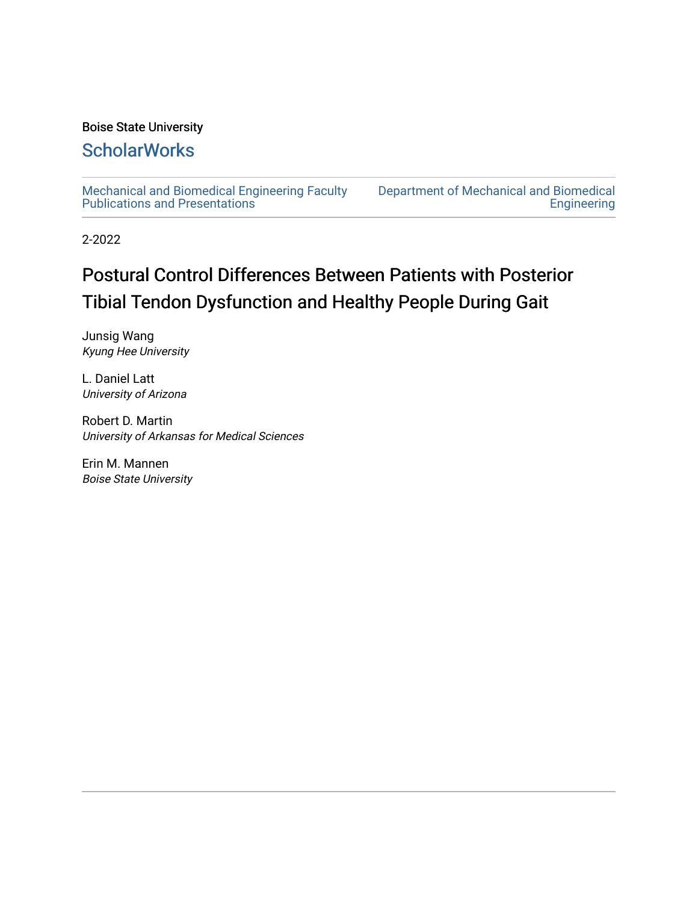## Boise State University

## **ScholarWorks**

[Mechanical and Biomedical Engineering Faculty](https://scholarworks.boisestate.edu/mecheng_facpubs)  [Publications and Presentations](https://scholarworks.boisestate.edu/mecheng_facpubs) 

[Department of Mechanical and Biomedical](https://scholarworks.boisestate.edu/mecheng)  [Engineering](https://scholarworks.boisestate.edu/mecheng) 

2-2022

# Postural Control Differences Between Patients with Posterior Tibial Tendon Dysfunction and Healthy People During Gait

Junsig Wang Kyung Hee University

L. Daniel Latt University of Arizona

Robert D. Martin University of Arkansas for Medical Sciences

Erin M. Mannen Boise State University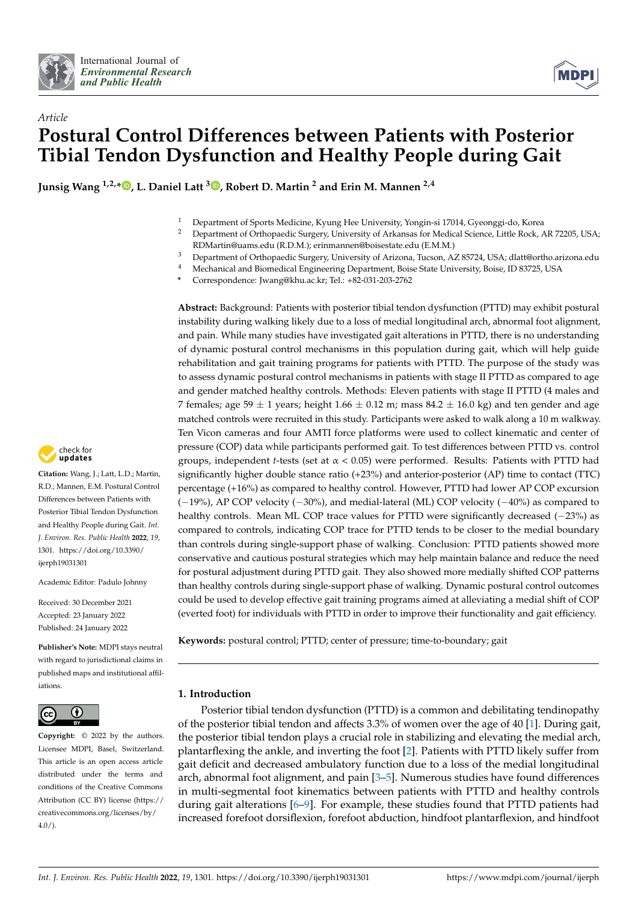



## *Article* **Postural Control Differences between Patients with Posterior Tibial Tendon Dysfunction and Healthy People during Gait**

**Junsig Wang 1,2,\* [,](https://orcid.org/0000-0002-7025-1812) L. Daniel Latt <sup>3</sup> [,](https://orcid.org/0000-0002-9925-3440) Robert D. Martin <sup>2</sup> and Erin M. Mannen 2,4**

- <sup>1</sup> Department of Sports Medicine, Kyung Hee University, Yongin-si 17014, Gyeonggi-do, Korea
- <sup>2</sup> Department of Orthopaedic Surgery, University of Arkansas for Medical Science, Little Rock, AR 72205, USA; RDMartin@uams.edu (R.D.M.); erinmannen@boisestate.edu (E.M.M.)
	-
- <sup>3</sup> Department of Orthopaedic Surgery, University of Arizona, Tucson, AZ 85724, USA; dlatt@ortho.arizona.edu<br><sup>4</sup> Machanical and Biamedical Engineering Department, Beise State University Beise, JD 82725, USA <sup>4</sup> Mechanical and Biomedical Engineering Department, Boise State University, Boise, ID 83725, USA
- **\*** Correspondence: Jwang@khu.ac.kr; Tel.: +82-031-203-2762

**Abstract:** Background: Patients with posterior tibial tendon dysfunction (PTTD) may exhibit postural instability during walking likely due to a loss of medial longitudinal arch, abnormal foot alignment, and pain. While many studies have investigated gait alterations in PTTD, there is no understanding of dynamic postural control mechanisms in this population during gait, which will help guide rehabilitation and gait training programs for patients with PTTD. The purpose of the study was to assess dynamic postural control mechanisms in patients with stage II PTTD as compared to age and gender matched healthy controls. Methods: Eleven patients with stage II PTTD (4 males and 7 females; age 59  $\pm$  1 years; height 1.66  $\pm$  0.12 m; mass 84.2  $\pm$  16.0 kg) and ten gender and age matched controls were recruited in this study. Participants were asked to walk along a 10 m walkway. Ten Vicon cameras and four AMTI force platforms were used to collect kinematic and center of pressure (COP) data while participants performed gait. To test differences between PTTD vs. control groups, independent *t*-tests (set at  $\alpha$  < 0.05) were performed. Results: Patients with PTTD had significantly higher double stance ratio (+23%) and anterior-posterior (AP) time to contact (TTC) percentage (+16%) as compared to healthy control. However, PTTD had lower AP COP excursion (−19%), AP COP velocity (−30%), and medial-lateral (ML) COP velocity (−40%) as compared to healthy controls. Mean ML COP trace values for PTTD were significantly decreased (−23%) as compared to controls, indicating COP trace for PTTD tends to be closer to the medial boundary than controls during single-support phase of walking. Conclusion: PTTD patients showed more conservative and cautious postural strategies which may help maintain balance and reduce the need for postural adjustment during PTTD gait. They also showed more medially shifted COP patterns than healthy controls during single-support phase of walking. Dynamic postural control outcomes could be used to develop effective gait training programs aimed at alleviating a medial shift of COP (everted foot) for individuals with PTTD in order to improve their functionality and gait efficiency.

**Keywords:** postural control; PTTD; center of pressure; time-to-boundary; gait

## **1. Introduction**

Posterior tibial tendon dysfunction (PTTD) is a common and debilitating tendinopathy of the posterior tibial tendon and affects 3.3% of women over the age of 40 [\[1\]](#page-8-0). During gait, the posterior tibial tendon plays a crucial role in stabilizing and elevating the medial arch, plantarflexing the ankle, and inverting the foot [\[2\]](#page-8-1). Patients with PTTD likely suffer from gait deficit and decreased ambulatory function due to a loss of the medial longitudinal arch, abnormal foot alignment, and pain [\[3](#page-8-2)[–5\]](#page-8-3). Numerous studies have found differences in multi-segmental foot kinematics between patients with PTTD and healthy controls during gait alterations  $[6-9]$  $[6-9]$ . For example, these studies found that PTTD patients had increased forefoot dorsiflexion, forefoot abduction, hindfoot plantarflexion, and hindfoot



**Citation:** Wang, J.; Latt, L.D.; Martin, R.D.; Mannen, E.M. Postural Control Differences between Patients with Posterior Tibial Tendon Dysfunction and Healthy People during Gait. *Int. J. Environ. Res. Public Health* **2022**, *19*, 1301. [https://doi.org/10.3390/](https://doi.org/10.3390/ijerph19031301) [ijerph19031301](https://doi.org/10.3390/ijerph19031301)

Academic Editor: Padulo Johnny

Received: 30 December 2021 Accepted: 23 January 2022 Published: 24 January 2022

**Publisher's Note:** MDPI stays neutral with regard to jurisdictional claims in published maps and institutional affiliations.



**Copyright:** © 2022 by the authors. Licensee MDPI, Basel, Switzerland. This article is an open access article distributed under the terms and conditions of the Creative Commons Attribution (CC BY) license [\(https://](https://creativecommons.org/licenses/by/4.0/) [creativecommons.org/licenses/by/](https://creativecommons.org/licenses/by/4.0/)  $4.0/$ ).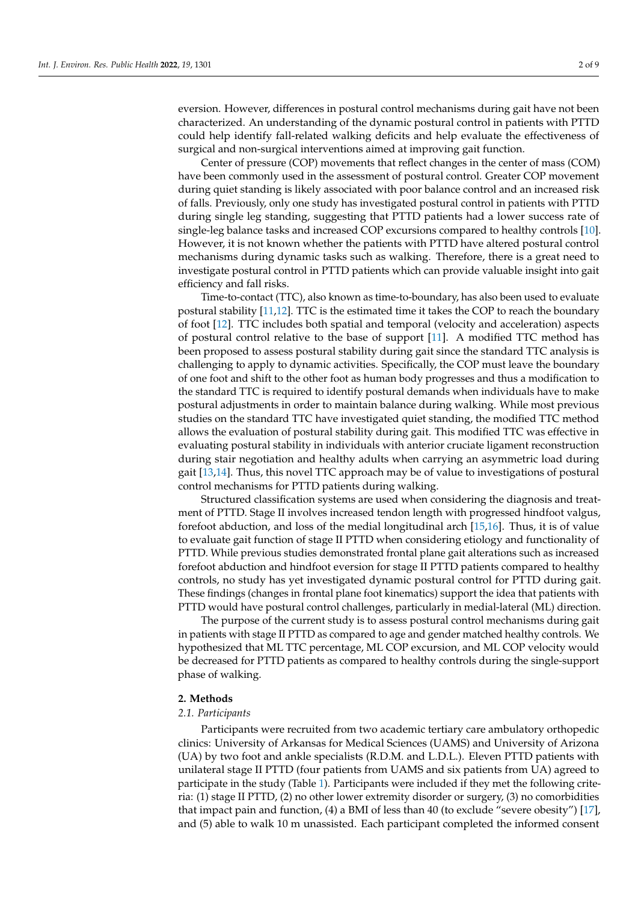eversion. However, differences in postural control mechanisms during gait have not been characterized. An understanding of the dynamic postural control in patients with PTTD could help identify fall-related walking deficits and help evaluate the effectiveness of surgical and non-surgical interventions aimed at improving gait function.

Center of pressure (COP) movements that reflect changes in the center of mass (COM) have been commonly used in the assessment of postural control. Greater COP movement during quiet standing is likely associated with poor balance control and an increased risk of falls. Previously, only one study has investigated postural control in patients with PTTD during single leg standing, suggesting that PTTD patients had a lower success rate of single-leg balance tasks and increased COP excursions compared to healthy controls [\[10\]](#page-8-6). However, it is not known whether the patients with PTTD have altered postural control mechanisms during dynamic tasks such as walking. Therefore, there is a great need to investigate postural control in PTTD patients which can provide valuable insight into gait efficiency and fall risks.

Time-to-contact (TTC), also known as time-to-boundary, has also been used to evaluate postural stability [\[11,](#page-8-7)[12\]](#page-8-8). TTC is the estimated time it takes the COP to reach the boundary of foot [\[12\]](#page-8-8). TTC includes both spatial and temporal (velocity and acceleration) aspects of postural control relative to the base of support [\[11\]](#page-8-7). A modified TTC method has been proposed to assess postural stability during gait since the standard TTC analysis is challenging to apply to dynamic activities. Specifically, the COP must leave the boundary of one foot and shift to the other foot as human body progresses and thus a modification to the standard TTC is required to identify postural demands when individuals have to make postural adjustments in order to maintain balance during walking. While most previous studies on the standard TTC have investigated quiet standing, the modified TTC method allows the evaluation of postural stability during gait. This modified TTC was effective in evaluating postural stability in individuals with anterior cruciate ligament reconstruction during stair negotiation and healthy adults when carrying an asymmetric load during gait [\[13,](#page-8-9)[14\]](#page-8-10). Thus, this novel TTC approach may be of value to investigations of postural control mechanisms for PTTD patients during walking.

Structured classification systems are used when considering the diagnosis and treatment of PTTD. Stage II involves increased tendon length with progressed hindfoot valgus, forefoot abduction, and loss of the medial longitudinal arch [\[15](#page-8-11)[,16\]](#page-8-12). Thus, it is of value to evaluate gait function of stage II PTTD when considering etiology and functionality of PTTD. While previous studies demonstrated frontal plane gait alterations such as increased forefoot abduction and hindfoot eversion for stage II PTTD patients compared to healthy controls, no study has yet investigated dynamic postural control for PTTD during gait. These findings (changes in frontal plane foot kinematics) support the idea that patients with PTTD would have postural control challenges, particularly in medial-lateral (ML) direction.

The purpose of the current study is to assess postural control mechanisms during gait in patients with stage II PTTD as compared to age and gender matched healthy controls. We hypothesized that ML TTC percentage, ML COP excursion, and ML COP velocity would be decreased for PTTD patients as compared to healthy controls during the single-support phase of walking.

### **2. Methods**

### *2.1. Participants*

Participants were recruited from two academic tertiary care ambulatory orthopedic clinics: University of Arkansas for Medical Sciences (UAMS) and University of Arizona (UA) by two foot and ankle specialists (R.D.M. and L.D.L.). Eleven PTTD patients with unilateral stage II PTTD (four patients from UAMS and six patients from UA) agreed to participate in the study (Table [1\)](#page-3-0). Participants were included if they met the following criteria: (1) stage II PTTD, (2) no other lower extremity disorder or surgery, (3) no comorbidities that impact pain and function, (4) a BMI of less than 40 (to exclude "severe obesity") [\[17\]](#page-8-13), and (5) able to walk 10 m unassisted. Each participant completed the informed consent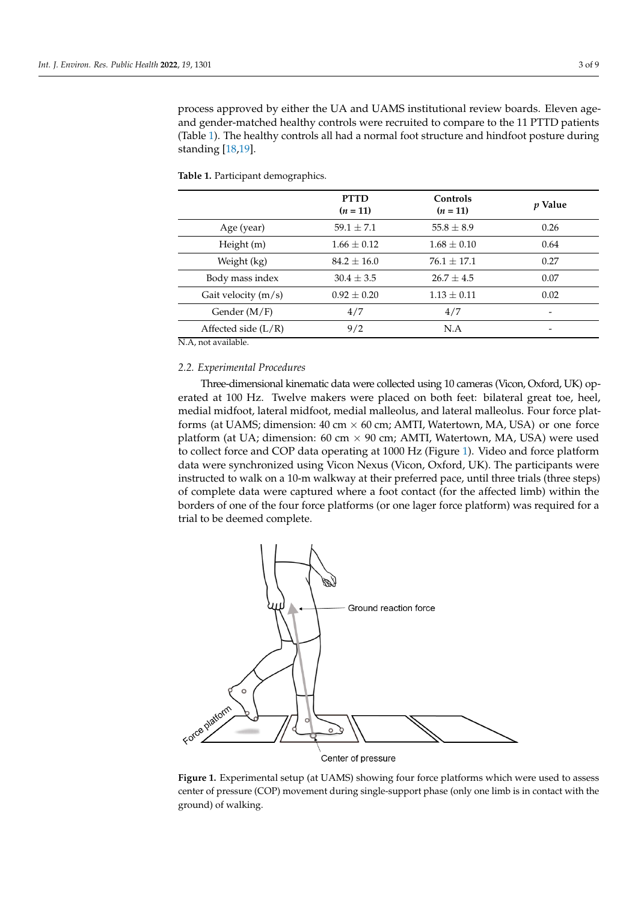process approved by either the UA and UAMS institutional review boards. Eleven ageand gender-matched healthy controls were recruited to compare to the 11 PTTD patients (Table 1). The healthy controls all had a normal foot structure [an](#page-3-0)d hindfoot posture during standing  $[18,19]$  $[18,19]$ .

|                       | <b>PTTD</b><br>$(n = 11)$ | Controls<br>$(n = 11)$ | <i>p</i> Value |
|-----------------------|---------------------------|------------------------|----------------|
| Age (year)            | $59.1 \pm 7.1$            | $55.8 \pm 8.9$         | 0.26           |
| Height (m)            | $1.66 \pm 0.12$           | $1.68 \pm 0.10$        | 0.64           |
| Weight (kg)           | $84.2 \pm 16.0$           | $76.1 + 17.1$          | 0.27           |
| Body mass index       | $30.4 \pm 3.5$            | $26.7 \pm 4.5$         | 0.07           |
| Gait velocity $(m/s)$ | $0.92 \pm 0.20$           | $1.13 \pm 0.11$        | 0.02           |
| Gender $(M/F)$        | 4/7                       | 4/7                    |                |
| Affected side $(L/R)$ | 9/2                       | N.A                    |                |
| $ -$<br>$\cdots$      |                           |                        |                |

<span id="page-3-0"></span>**Table 1.** Participant demographics.

N.A, not available. N.A, not available.

## *2.2. Experimental Procedures 2.2. Experimental Procedures*

Three-dimensional kinematic data were collected using 10 cameras (Vicon, Oxford, UK) op-Three-dimensional kinematic data were collected using 10 cameras (Vicon, Oxford, erated at 100 Hz. Twelve makers were placed on both feet: bilateral great toe, heel, medial midfoot, lateral midfoot, medial malleolus, and lateral malleolus. Four force plat-medial midfoot, lateral midfoot, medial malleolus, and lateral malleolus. Four force platforms (at UAMS; dimension:  $40 \text{ cm} \times 60 \text{ cm}$ ; AMTI, Watertown, MA, USA) or one force platform (at UA; dimension: 60 cm × 90 cm; AMTI, Watertown, MA, USA) were used to the contract of the contract of the contract of the contract of the contract of the contract of the contract of the contract of the contract to collect force and COP data operating at 1000 Hz (Figure [1\)](#page-3-1). Video and force platform data operating at 1000 Hz (Figure 1). Video and force platform data were synchronized using Vicon Nexus (Vicon, Oxford, UK). The participants were ininstructed to walk on a 10-m walkway at their preferred pace, until three trials (three steps) structed to walk on a 10-m walkway at their preferred pace, until three trials (three steps) of complete data were captured where a foot contact (for the affected limb) within the borders of one of the four force platforms (or one lager force platform) was required for a<br>bird to had several consolate trial to be deemed complete. trial to be deemed complete.

<span id="page-3-1"></span>

**Figure 1.** Experimental setup (at UAMS) showing four force platforms which were used to assess **Figure 1.** Experimental setup (at UAMS) showing four force platforms which were used to assess center of pressure (COP) movement during single-support phase (only one limb is in contact with center of pressure (COP) movement during single-support phase (only one limb is in contact with the ground) of walking.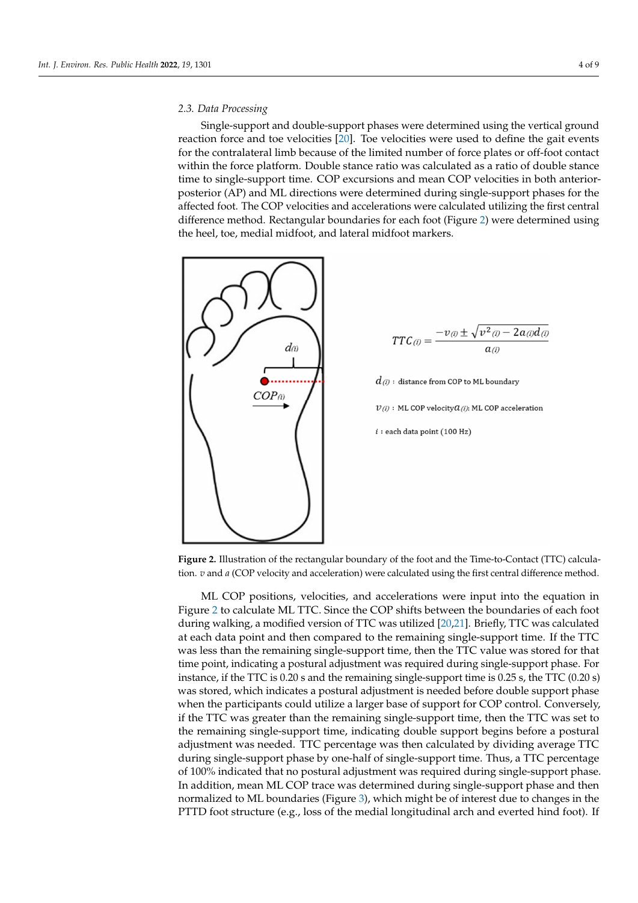## *2.3. Data Processing 2.3. Data Processing*

Single-support and double-support phases were determined using the vertical ground Single-support and double-support phases were determined using the vertical reaction force and toe velocities  $\begin{bmatrix} 1 & 1 \\ 2 & 0 \end{bmatrix}$ . Toe velocities were used to define the gait events for the contralateral limb because of the limited number of force plates or off-foot contact within the force platform. Double stance ratio was calculated as a ratio of double stance time to single-support time. COP excursions and mean COP velocities in both anteriorposterior (AP) and ML directions were determined during single-support phases for the affected foot. The COP velocities and accelerations were calculated utilizing the first central difference method. Rectangular boundaries for each foot (Figure [2\)](#page-4-0) were determined using the heel, toe, medial midfoot, and lateral midfoot markers.

<span id="page-4-0"></span>

$$
TTC(i) = \frac{-v_{(i)} \pm \sqrt{v^2_{(i)} - 2a_{(i)}d_{(i)}}}{a_{(i)}}
$$

 $d_{\rm{\scriptscriptstyle (}i\!)}$  : distance from COP to ML boundary  $V(i)$ : ML COP velocity  $Q(i)$ : ML COP acceleration

 $i:$ each data point (100 Hz)

**Figure 2.** Illustration of the rectangular boundary of the foot and the Time-to-Contact (TTC) calculation. *v* and *a* (COP velocity and acceleration) were calculated using the first central difference method.

method. Figure [2](#page-4-0) to calculate ML TTC. Since the COP shifts between the boundaries of each foot<br>TTC. Since the COP shifts between the boundaries of each foot during walking, a modified version of TTC was utilized [\[20](#page-8-16)[,21\]](#page-8-17). Briefly, TTC was calculated  $\frac{1}{2}$ at each data point and then compared to the remaining single-support time. If the TTC at the  $TTC$ was less than the remaining single-support time, then the TTC value was stored for that was less than the remaining single-support time, then the  $T\Gamma$ C value  $\Gamma$  then the TTC value was stored for the TTC value  $\Gamma$ instance, if the TTC is 0.20 s and the remaining single-support time is 0.25 s, the TTC  $(0.20 \text{ s})$ when the participants could utilize a larger base of support for COP control. Conversely, If the TTC was greater than the remaining single-support time, then the TTC was set to the remaining single-support time, indicating double support begins before a postural are remaining single-support time, increasing abduce support signification a postument was needed. TTC percentage was then calculated by dividing average TTC during single-support phase by one-half of single-support time. Thus, a TTC percentage tural adjustment was needed. TTC percentage was then calculated by dividing average of 100% indicated that no postural adjustment was required during single-support phase. In addition, mean ML COP trace was determined during single-support phase and then normalized to ML boundaries (Figure [3\)](#page-5-0), which might be of interest due to changes in the PTTD foot structure (e.g., loss of the medial longitudinal arch and everted hind foot). If  $\frac{1}{2}$ , which might be of interest due to changes  $\frac{1}{2}$ ML COP positions, velocities, and accelerations were input into the equation in time point, indicating a postural adjustment was required during single-support phase. For was stored, which indicates a postural adjustment is needed before double support phase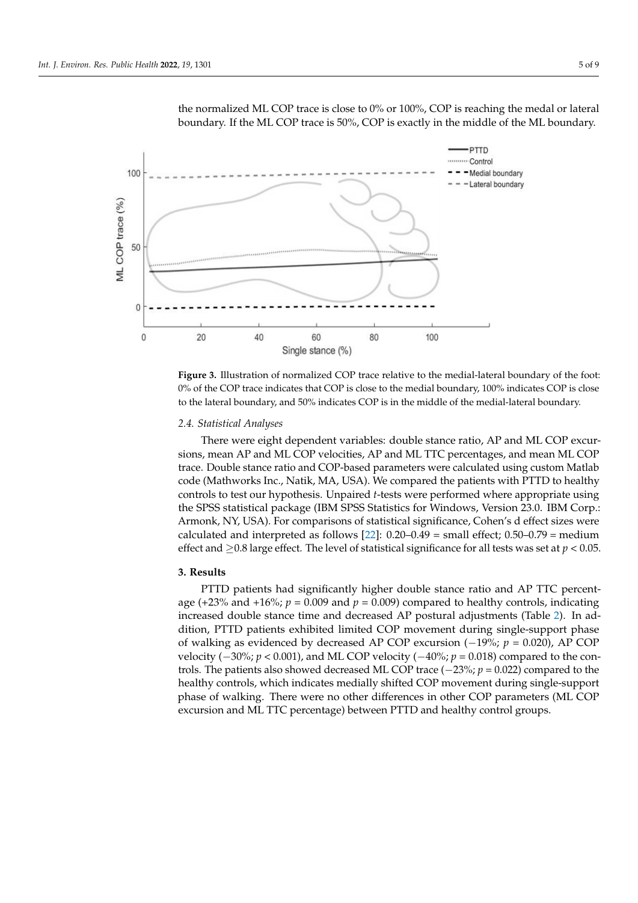

<span id="page-5-0"></span>the normalized ML COP trace is close to  $0\%$  or  $100\%$ , COP is reaching the medal or lateral boundary. If the ML COP trace is 50%, COP is exactly in the middle of the ML boundary.

**Figure 3.** Illustration of normalized COP trace relative to the medial-lateral boundary of the foot: **Figure 3.** Illustration of normalized COP trace relative to the medial-lateral boundary of the foot: 0% of the COP trace indicates that COP is close to the medial boundary, 100% indicates COP is close to the lateral boundary, and 50% indicates COP is in the middle of the medial-lateral boundary. to the lateral boundary, and 50% indicates COP is in the middle of the medial-lateral boundary.

## *2.4. Statistical Analyses 2.4. Statistical Analyses*

There were eight dependent variables: double stance ratio, AP and ML COP excur-There were eight dependent variables: double stance ratio, AP and ML COP excursions, mean AP and ML COP velocities, AP and ML TTC percentages, and mean ML COP sions, mean AP and ML COP velocities, AP and ML TTC percentages, and mean ML COP trace. Double stance ratio and COP-based parameters were calculated using custom trace. Double stance ratio and COP-based parameters were calculated using custom Matlab code (Mathworks Inc., Natik, MA, USA). We compared the patients with PTTD to healthy controls to test our hypothesis. Unpaired *t*-tests were performed where appropriate using the SPSS statistical package (IBM SPSS Statistics for Windows, Version 23.0. IBM Corp.: Armonk, NY, USA). For comparisons of statistical significance, Cohen's d effect sizes were calculated and interpreted as follows  $[22]$ : 0.20–0.49 = small effect; 0.50–0.79 = medium effect and  $\geq$ 0.8 large effect. The level of statistical significance for all tests was set at *p* < 0.05.

## **3. Results**

age (+23% and +16%;  $p = 0.009$  and  $p = 0.009$ ) compared to healthy controls, indicating increased double stance time and decreased AP postural adjustments (Table [2\)](#page-6-0). In ad-<br>intervals in the line of the line of the decreased AP postural adjustments (Table 2). In addition, PTTD patients exhibited limited COP movement during single-support phase of walking as evidenced by decreased AP COP excursion (−19%; *p* = 0.020), AP COP velocity  $(-30\%; p < 0.001)$ , and ML COP velocity  $(-40\%; p = 0.018)$  compared to the con*p* trols. The patients also showed decreased ML COP trace (−23%;  $p = 0.022$ ) compared to the controls. The patients also showed decreased ML COP measured derived to the healthy controls, which indicates medially shifted COP movement during single-support<br>healthy controls, which indicates medially shifted COP movement during single-support which is much indicates medial  $\alpha$  movement during shifted COP movement  $\alpha$  movement  $\alpha$  and  $\alpha$  movement of walking. excursion and ML TTC percentage) between PTTD and healthy control groups. PTTD patients had significantly higher double stance ratio and AP TTC percentphase of walking. There were no other differences in other COP parameters (ML COP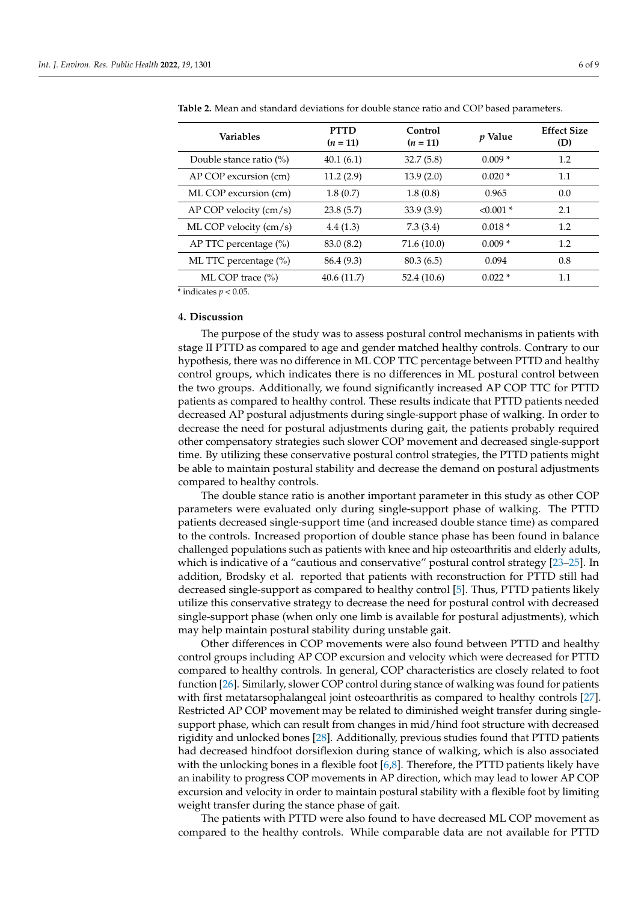| <b>Variables</b>                       | <b>PTTD</b><br>$(n = 11)$ | Control<br>$(n = 11)$ | <i>p</i> Value | <b>Effect Size</b><br>(D) |
|----------------------------------------|---------------------------|-----------------------|----------------|---------------------------|
| Double stance ratio $(\%)$             | 40.1(6.1)                 | 32.7(5.8)             | $0.009*$       | 1.2                       |
| AP COP excursion (cm)                  | 11.2(2.9)                 | 13.9(2.0)             | $0.020*$       | 1.1                       |
| ML COP excursion (cm)                  | 1.8(0.7)                  | 1.8(0.8)              | 0.965          | 0.0                       |
| $AP$ COP velocity (cm/s)               | 23.8(5.7)                 | 33.9(3.9)             | $< 0.001$ *    | 2.1                       |
| ML COP velocity $\langle cm/s \rangle$ | 4.4(1.3)                  | 7.3(3.4)              | $0.018*$       | 1.2                       |
| AP TTC percentage $(\%)$               | 83.0 (8.2)                | 71.6 (10.0)           | $0.009*$       | 1.2                       |
| ML TTC percentage $(\%)$               | 86.4 (9.3)                | 80.3(6.5)             | 0.094          | 0.8                       |
| ML COP trace (%)                       | 40.6 (11.7)               | 52.4 (10.6)           | $0.022*$       | 1.1                       |

<span id="page-6-0"></span>**Table 2.** Mean and standard deviations for double stance ratio and COP based parameters.

 $*$  indicates  $p < 0.05$ .

### **4. Discussion**

The purpose of the study was to assess postural control mechanisms in patients with stage II PTTD as compared to age and gender matched healthy controls. Contrary to our hypothesis, there was no difference in ML COP TTC percentage between PTTD and healthy control groups, which indicates there is no differences in ML postural control between the two groups. Additionally, we found significantly increased AP COP TTC for PTTD patients as compared to healthy control. These results indicate that PTTD patients needed decreased AP postural adjustments during single-support phase of walking. In order to decrease the need for postural adjustments during gait, the patients probably required other compensatory strategies such slower COP movement and decreased single-support time. By utilizing these conservative postural control strategies, the PTTD patients might be able to maintain postural stability and decrease the demand on postural adjustments compared to healthy controls.

The double stance ratio is another important parameter in this study as other COP parameters were evaluated only during single-support phase of walking. The PTTD patients decreased single-support time (and increased double stance time) as compared to the controls. Increased proportion of double stance phase has been found in balance challenged populations such as patients with knee and hip osteoarthritis and elderly adults, which is indicative of a "cautious and conservative" postural control strategy [\[23–](#page-8-19)[25\]](#page-8-20). In addition, Brodsky et al. reported that patients with reconstruction for PTTD still had decreased single-support as compared to healthy control [\[5\]](#page-8-3). Thus, PTTD patients likely utilize this conservative strategy to decrease the need for postural control with decreased single-support phase (when only one limb is available for postural adjustments), which may help maintain postural stability during unstable gait.

Other differences in COP movements were also found between PTTD and healthy control groups including AP COP excursion and velocity which were decreased for PTTD compared to healthy controls. In general, COP characteristics are closely related to foot function [\[26\]](#page-9-0). Similarly, slower COP control during stance of walking was found for patients with first metatarsophalangeal joint osteoarthritis as compared to healthy controls [\[27\]](#page-9-1). Restricted AP COP movement may be related to diminished weight transfer during singlesupport phase, which can result from changes in mid/hind foot structure with decreased rigidity and unlocked bones [\[28\]](#page-9-2). Additionally, previous studies found that PTTD patients had decreased hindfoot dorsiflexion during stance of walking, which is also associated with the unlocking bones in a flexible foot  $[6,8]$  $[6,8]$ . Therefore, the PTTD patients likely have an inability to progress COP movements in AP direction, which may lead to lower AP COP excursion and velocity in order to maintain postural stability with a flexible foot by limiting weight transfer during the stance phase of gait.

The patients with PTTD were also found to have decreased ML COP movement as compared to the healthy controls. While comparable data are not available for PTTD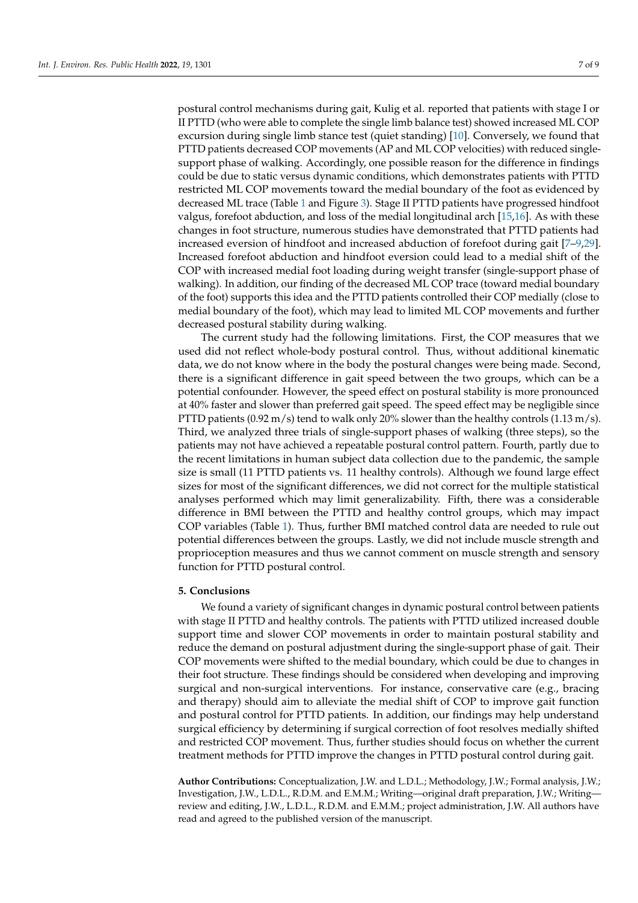postural control mechanisms during gait, Kulig et al. reported that patients with stage I or II PTTD (who were able to complete the single limb balance test) showed increased ML COP excursion during single limb stance test (quiet standing) [\[10\]](#page-8-6). Conversely, we found that PTTD patients decreased COP movements (AP and ML COP velocities) with reduced singlesupport phase of walking. Accordingly, one possible reason for the difference in findings could be due to static versus dynamic conditions, which demonstrates patients with PTTD restricted ML COP movements toward the medial boundary of the foot as evidenced by decreased ML trace (Table [1](#page-3-0) and Figure [3\)](#page-5-0). Stage II PTTD patients have progressed hindfoot valgus, forefoot abduction, and loss of the medial longitudinal arch [\[15](#page-8-11)[,16\]](#page-8-12). As with these changes in foot structure, numerous studies have demonstrated that PTTD patients had increased eversion of hindfoot and increased abduction of forefoot during gait [\[7–](#page-8-22)[9,](#page-8-5)[29\]](#page-9-3). Increased forefoot abduction and hindfoot eversion could lead to a medial shift of the COP with increased medial foot loading during weight transfer (single-support phase of walking). In addition, our finding of the decreased ML COP trace (toward medial boundary of the foot) supports this idea and the PTTD patients controlled their COP medially (close to medial boundary of the foot), which may lead to limited ML COP movements and further decreased postural stability during walking.

The current study had the following limitations. First, the COP measures that we used did not reflect whole-body postural control. Thus, without additional kinematic data, we do not know where in the body the postural changes were being made. Second, there is a significant difference in gait speed between the two groups, which can be a potential confounder. However, the speed effect on postural stability is more pronounced at 40% faster and slower than preferred gait speed. The speed effect may be negligible since PTTD patients  $(0.92 \text{ m/s})$  tend to walk only 20% slower than the healthy controls  $(1.13 \text{ m/s})$ . Third, we analyzed three trials of single-support phases of walking (three steps), so the patients may not have achieved a repeatable postural control pattern. Fourth, partly due to the recent limitations in human subject data collection due to the pandemic, the sample size is small (11 PTTD patients vs. 11 healthy controls). Although we found large effect sizes for most of the significant differences, we did not correct for the multiple statistical analyses performed which may limit generalizability. Fifth, there was a considerable difference in BMI between the PTTD and healthy control groups, which may impact COP variables (Table [1\)](#page-3-0). Thus, further BMI matched control data are needed to rule out potential differences between the groups. Lastly, we did not include muscle strength and proprioception measures and thus we cannot comment on muscle strength and sensory function for PTTD postural control.

### **5. Conclusions**

We found a variety of significant changes in dynamic postural control between patients with stage II PTTD and healthy controls. The patients with PTTD utilized increased double support time and slower COP movements in order to maintain postural stability and reduce the demand on postural adjustment during the single-support phase of gait. Their COP movements were shifted to the medial boundary, which could be due to changes in their foot structure. These findings should be considered when developing and improving surgical and non-surgical interventions. For instance, conservative care (e.g., bracing and therapy) should aim to alleviate the medial shift of COP to improve gait function and postural control for PTTD patients. In addition, our findings may help understand surgical efficiency by determining if surgical correction of foot resolves medially shifted and restricted COP movement. Thus, further studies should focus on whether the current treatment methods for PTTD improve the changes in PTTD postural control during gait.

**Author Contributions:** Conceptualization, J.W. and L.D.L.; Methodology, J.W.; Formal analysis, J.W.; Investigation, J.W., L.D.L., R.D.M. and E.M.M.; Writing—original draft preparation, J.W.; Writing review and editing, J.W., L.D.L., R.D.M. and E.M.M.; project administration, J.W. All authors have read and agreed to the published version of the manuscript.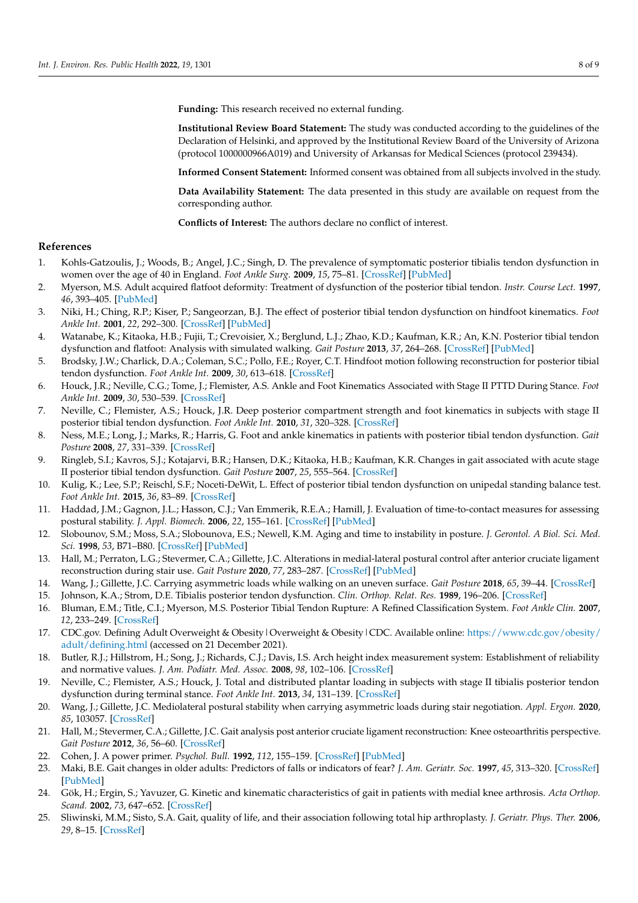**Funding:** This research received no external funding.

**Institutional Review Board Statement:** The study was conducted according to the guidelines of the Declaration of Helsinki, and approved by the Institutional Review Board of the University of Arizona (protocol 1000000966A019) and University of Arkansas for Medical Sciences (protocol 239434).

**Informed Consent Statement:** Informed consent was obtained from all subjects involved in the study.

**Data Availability Statement:** The data presented in this study are available on request from the corresponding author.

**Conflicts of Interest:** The authors declare no conflict of interest.

### **References**

- <span id="page-8-0"></span>1. Kohls-Gatzoulis, J.; Woods, B.; Angel, J.C.; Singh, D. The prevalence of symptomatic posterior tibialis tendon dysfunction in women over the age of 40 in England. *Foot Ankle Surg.* **2009**, *15*, 75–81. [\[CrossRef\]](http://doi.org/10.1016/j.fas.2008.08.003) [\[PubMed\]](http://www.ncbi.nlm.nih.gov/pubmed/19410173)
- <span id="page-8-1"></span>2. Myerson, M.S. Adult acquired flatfoot deformity: Treatment of dysfunction of the posterior tibial tendon. *Instr. Course Lect.* **1997**, *46*, 393–405. [\[PubMed\]](http://www.ncbi.nlm.nih.gov/pubmed/9143981)
- <span id="page-8-2"></span>3. Niki, H.; Ching, R.P.; Kiser, P.; Sangeorzan, B.J. The effect of posterior tibial tendon dysfunction on hindfoot kinematics. *Foot Ankle Int.* **2001**, *22*, 292–300. [\[CrossRef\]](http://doi.org/10.1177/107110070102200404) [\[PubMed\]](http://www.ncbi.nlm.nih.gov/pubmed/11354441)
- 4. Watanabe, K.; Kitaoka, H.B.; Fujii, T.; Crevoisier, X.; Berglund, L.J.; Zhao, K.D.; Kaufman, K.R.; An, K.N. Posterior tibial tendon dysfunction and flatfoot: Analysis with simulated walking. *Gait Posture* **2013**, *37*, 264–268. [\[CrossRef\]](http://doi.org/10.1016/j.gaitpost.2012.07.015) [\[PubMed\]](http://www.ncbi.nlm.nih.gov/pubmed/22939754)
- <span id="page-8-3"></span>5. Brodsky, J.W.; Charlick, D.A.; Coleman, S.C.; Pollo, F.E.; Royer, C.T. Hindfoot motion following reconstruction for posterior tibial tendon dysfunction. *Foot Ankle Int.* **2009**, *30*, 613–618. [\[CrossRef\]](http://doi.org/10.3113/FAI.2009.0613)
- <span id="page-8-4"></span>6. Houck, J.R.; Neville, C.G.; Tome, J.; Flemister, A.S. Ankle and Foot Kinematics Associated with Stage II PTTD During Stance. *Foot Ankle Int.* **2009**, *30*, 530–539. [\[CrossRef\]](http://doi.org/10.3113/FAI.2009.0530)
- <span id="page-8-22"></span>7. Neville, C.; Flemister, A.S.; Houck, J.R. Deep posterior compartment strength and foot kinematics in subjects with stage II posterior tibial tendon dysfunction. *Foot Ankle Int.* **2010**, *31*, 320–328. [\[CrossRef\]](http://doi.org/10.3113/FAI.2010.0320)
- <span id="page-8-21"></span>8. Ness, M.E.; Long, J.; Marks, R.; Harris, G. Foot and ankle kinematics in patients with posterior tibial tendon dysfunction. *Gait Posture* **2008**, *27*, 331–339. [\[CrossRef\]](http://doi.org/10.1016/j.gaitpost.2007.04.014)
- <span id="page-8-5"></span>9. Ringleb, S.I.; Kavros, S.J.; Kotajarvi, B.R.; Hansen, D.K.; Kitaoka, H.B.; Kaufman, K.R. Changes in gait associated with acute stage II posterior tibial tendon dysfunction. *Gait Posture* **2007**, *25*, 555–564. [\[CrossRef\]](http://doi.org/10.1016/j.gaitpost.2006.06.008)
- <span id="page-8-6"></span>10. Kulig, K.; Lee, S.P.; Reischl, S.F.; Noceti-DeWit, L. Effect of posterior tibial tendon dysfunction on unipedal standing balance test. *Foot Ankle Int.* **2015**, *36*, 83–89. [\[CrossRef\]](http://doi.org/10.1177/1071100714551020)
- <span id="page-8-7"></span>11. Haddad, J.M.; Gagnon, J.L.; Hasson, C.J.; Van Emmerik, R.E.A.; Hamill, J. Evaluation of time-to-contact measures for assessing postural stability. *J. Appl. Biomech.* **2006**, *22*, 155–161. [\[CrossRef\]](http://doi.org/10.1123/jab.22.2.155) [\[PubMed\]](http://www.ncbi.nlm.nih.gov/pubmed/16871006)
- <span id="page-8-8"></span>12. Slobounov, S.M.; Moss, S.A.; Slobounova, E.S.; Newell, K.M. Aging and time to instability in posture. *J. Gerontol. A Biol. Sci. Med. Sci.* **1998**, *53*, B71–B80. [\[CrossRef\]](http://doi.org/10.1093/gerona/53A.1.B71) [\[PubMed\]](http://www.ncbi.nlm.nih.gov/pubmed/9467425)
- <span id="page-8-9"></span>13. Hall, M.; Perraton, L.G.; Stevermer, C.A.; Gillette, J.C. Alterations in medial-lateral postural control after anterior cruciate ligament reconstruction during stair use. *Gait Posture* **2020**, *77*, 283–287. [\[CrossRef\]](http://doi.org/10.1016/j.gaitpost.2020.02.011) [\[PubMed\]](http://www.ncbi.nlm.nih.gov/pubmed/32106044)
- <span id="page-8-10"></span>14. Wang, J.; Gillette, J.C. Carrying asymmetric loads while walking on an uneven surface. *Gait Posture* **2018**, *65*, 39–44. [\[CrossRef\]](http://doi.org/10.1016/j.gaitpost.2018.06.173)
- <span id="page-8-11"></span>15. Johnson, K.A.; Strom, D.E. Tibialis posterior tendon dysfunction. *Clin. Orthop. Relat. Res.* **1989**, 196–206. [\[CrossRef\]](http://doi.org/10.1097/00003086-198902000-00022)
- <span id="page-8-12"></span>16. Bluman, E.M.; Title, C.I.; Myerson, M.S. Posterior Tibial Tendon Rupture: A Refined Classification System. *Foot Ankle Clin.* **2007**, *12*, 233–249. [\[CrossRef\]](http://doi.org/10.1016/j.fcl.2007.03.003)
- <span id="page-8-13"></span>17. CDC.gov. Defining Adult Overweight & Obesity|Overweight & Obesity|CDC. Available online: [https://www.cdc.gov/obesity/](https://www.cdc.gov/obesity/adult/defining.html) [adult/defining.html](https://www.cdc.gov/obesity/adult/defining.html) (accessed on 21 December 2021).
- <span id="page-8-14"></span>18. Butler, R.J.; Hillstrom, H.; Song, J.; Richards, C.J.; Davis, I.S. Arch height index measurement system: Establishment of reliability and normative values. *J. Am. Podiatr. Med. Assoc.* **2008**, *98*, 102–106. [\[CrossRef\]](http://doi.org/10.7547/0980102)
- <span id="page-8-15"></span>19. Neville, C.; Flemister, A.S.; Houck, J. Total and distributed plantar loading in subjects with stage II tibialis posterior tendon dysfunction during terminal stance. *Foot Ankle Int.* **2013**, *34*, 131–139. [\[CrossRef\]](http://doi.org/10.1177/1071100712460181)
- <span id="page-8-16"></span>20. Wang, J.; Gillette, J.C. Mediolateral postural stability when carrying asymmetric loads during stair negotiation. *Appl. Ergon.* **2020**, *85*, 103057. [\[CrossRef\]](http://doi.org/10.1016/j.apergo.2020.103057)
- <span id="page-8-17"></span>21. Hall, M.; Stevermer, C.A.; Gillette, J.C. Gait analysis post anterior cruciate ligament reconstruction: Knee osteoarthritis perspective. *Gait Posture* **2012**, *36*, 56–60. [\[CrossRef\]](http://doi.org/10.1016/j.gaitpost.2012.01.003)
- <span id="page-8-18"></span>22. Cohen, J. A power primer. *Psychol. Bull.* **1992**, *112*, 155–159. [\[CrossRef\]](http://doi.org/10.1037/0033-2909.112.1.155) [\[PubMed\]](http://www.ncbi.nlm.nih.gov/pubmed/19565683)
- <span id="page-8-19"></span>23. Maki, B.E. Gait changes in older adults: Predictors of falls or indicators of fear? *J. Am. Geriatr. Soc.* **1997**, *45*, 313–320. [\[CrossRef\]](http://doi.org/10.1111/j.1532-5415.1997.tb00946.x) [\[PubMed\]](http://www.ncbi.nlm.nih.gov/pubmed/9063277)
- 24. Gök, H.; Ergin, S.; Yavuzer, G. Kinetic and kinematic characteristics of gait in patients with medial knee arthrosis. *Acta Orthop. Scand.* **2002**, *73*, 647–652. [\[CrossRef\]](http://doi.org/10.3109/17453670209178029)
- <span id="page-8-20"></span>25. Sliwinski, M.M.; Sisto, S.A. Gait, quality of life, and their association following total hip arthroplasty. *J. Geriatr. Phys. Ther.* **2006**, *29*, 8–15. [\[CrossRef\]](http://doi.org/10.1519/00139143-200604000-00003)